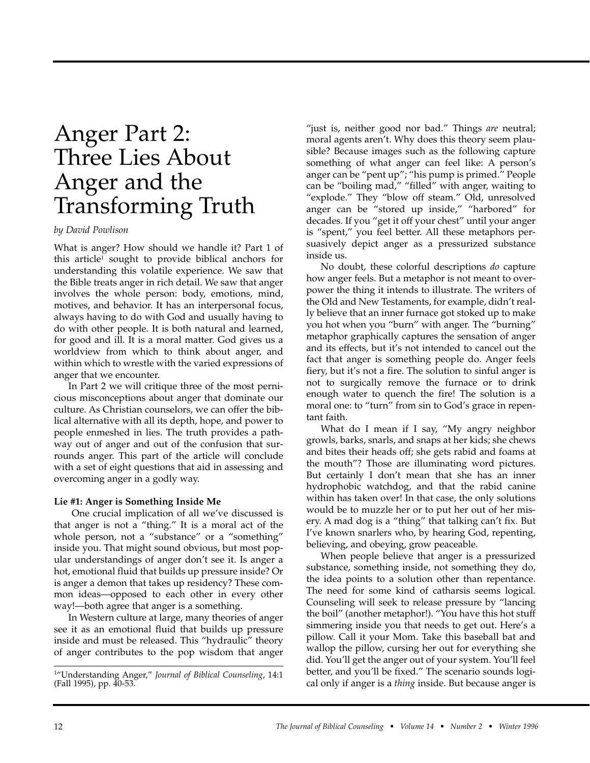# Anger Part 2: Three Lies About Anger and the Transforming Truth

#### *by David Powlison*

What is anger? How should we handle it? Part 1 of this article<sup>1</sup> sought to provide biblical anchors for understanding this volatile experience. We saw that the Bible treats anger in rich detail. We saw that anger involves the whole person: body, emotions, mind, motives, and behavior. It has an interpersonal focus, always having to do with God and usually having to do with other people. It is both natural and learned, for good and ill. It is a moral matter. God gives us a worldview from which to think about anger, and within which to wrestle with the varied expressions of anger that we encounter.

In Part 2 we will critique three of the most pernicious misconceptions about anger that dominate our culture. As Christian counselors, we can offer the biblical alternative with all its depth, hope, and power to people enmeshed in lies. The truth provides a pathway out of anger and out of the confusion that surrounds anger. This part of the article will conclude with a set of eight questions that aid in assessing and overcoming anger in a godly way.

#### **Lie #1: Anger is Something Inside Me**

One crucial implication of all we've discussed is that anger is not a "thing." It is a moral act of the whole person, not a "substance" or a "something" inside you. That might sound obvious, but most popular understandings of anger don't see it. Is anger a hot, emotional fluid that builds up pressure inside? Or is anger a demon that takes up residency? These common ideas—opposed to each other in every other way!—both agree that anger is a something.

In Western culture at large, many theories of anger see it as an emotional fluid that builds up pressure inside and must be released. This "hydraulic" theory of anger contributes to the pop wisdom that anger "just is, neither good nor bad." Things *are* neutral; moral agents aren't. Why does this theory seem plausible? Because images such as the following capture something of what anger can feel like: A person's anger can be "pent up"; "his pump is primed." People can be "boiling mad," "filled" with anger, waiting to "explode." They "blow off steam." Old, unresolved anger can be "stored up inside," "harbored" for decades. If you "get it off your chest" until your anger is "spent," you feel better. All these metaphors persuasively depict anger as a pressurized substance inside us.

No doubt, these colorful descriptions *do* capture how anger feels. But a metaphor is not meant to overpower the thing it intends to illustrate. The writers of the Old and New Testaments, for example, didn't really believe that an inner furnace got stoked up to make you hot when you "burn" with anger. The "burning" metaphor graphically captures the sensation of anger and its effects, but it's not intended to cancel out the fact that anger is something people do. Anger feels fiery, but it's not a fire. The solution to sinful anger is not to surgically remove the furnace or to drink enough water to quench the fire! The solution is a moral one: to "turn" from sin to God's grace in repentant faith.

What do I mean if I say, "My angry neighbor growls, barks, snarls, and snaps at her kids; she chews and bites their heads off; she gets rabid and foams at the mouth"? Those are illuminating word pictures. But certainly I don't mean that she has an inner hydrophobic watchdog, and that the rabid canine within has taken over! In that case, the only solutions would be to muzzle her or to put her out of her misery. A mad dog is a "thing" that talking can't fix. But I've known snarlers who, by hearing God, repenting, believing, and obeying, grow peaceable.

When people believe that anger is a pressurized substance, something inside, not something they do, the idea points to a solution other than repentance. The need for some kind of catharsis seems logical. Counseling will seek to release pressure by "lancing the boil" (another metaphor!). "You have this hot stuff simmering inside you that needs to get out. Here's a pillow. Call it your Mom. Take this baseball bat and wallop the pillow, cursing her out for everything she did. You'll get the anger out of your system. You'll feel better, and you'll be fixed." The scenario sounds logical only if anger is a *thing* inside. But because anger is

<sup>1&</sup>quot;Understanding Anger," *Journal of Biblical Counseling*, 14:1 (Fall 1995), pp. 40-53.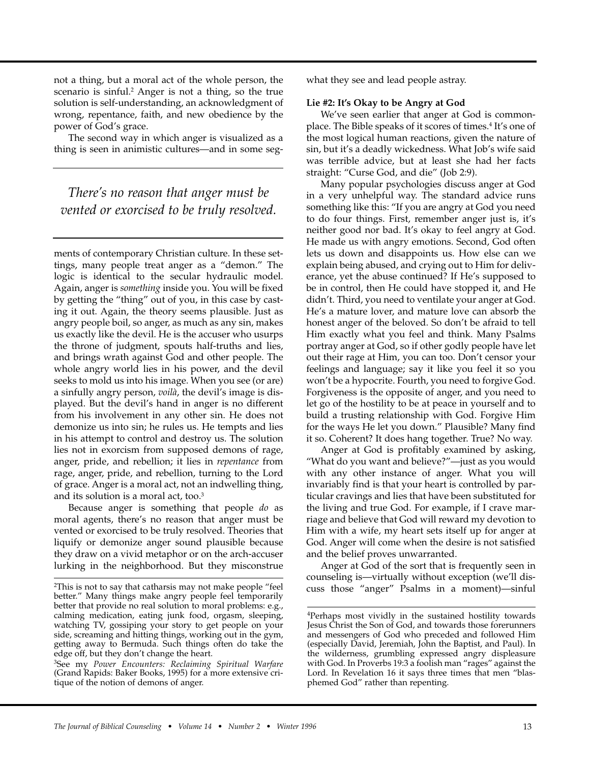not a thing, but a moral act of the whole person, the scenario is sinful.<sup>2</sup> Anger is not a thing, so the true solution is self-understanding, an acknowledgment of wrong, repentance, faith, and new obedience by the power of God's grace.

The second way in which anger is visualized as a thing is seen in animistic cultures—and in some seg-

*There's no reason that anger must be vented or exorcised to be truly resolved.*

ments of contemporary Christian culture. In these settings, many people treat anger as a "demon." The logic is identical to the secular hydraulic model. Again, anger is *something* inside you. You will be fixed by getting the "thing" out of you, in this case by casting it out. Again, the theory seems plausible. Just as angry people boil, so anger, as much as any sin, makes us exactly like the devil. He is the accuser who usurps the throne of judgment, spouts half-truths and lies, and brings wrath against God and other people. The whole angry world lies in his power, and the devil seeks to mold us into his image. When you see (or are) a sinfully angry person, *voilà*, the devil's image is displayed. But the devil's hand in anger is no different from his involvement in any other sin. He does not demonize us into sin; he rules us. He tempts and lies in his attempt to control and destroy us. The solution lies not in exorcism from supposed demons of rage, anger, pride, and rebellion; it lies in *repentance* from rage, anger, pride, and rebellion, turning to the Lord of grace. Anger is a moral act, not an indwelling thing, and its solution is a moral act, too.3

Because anger is something that people *do* as moral agents, there's no reason that anger must be vented or exorcised to be truly resolved. Theories that liquify or demonize anger sound plausible because they draw on a vivid metaphor or on the arch-accuser lurking in the neighborhood. But they misconstrue what they see and lead people astray.

#### **Lie #2: It's Okay to be Angry at God**

We've seen earlier that anger at God is commonplace. The Bible speaks of it scores of times.4 It's one of the most logical human reactions, given the nature of sin, but it's a deadly wickedness. What Job's wife said was terrible advice, but at least she had her facts straight: "Curse God, and die" (Job 2:9).

Many popular psychologies discuss anger at God in a very unhelpful way. The standard advice runs something like this: "If you are angry at God you need to do four things. First, remember anger just is, it's neither good nor bad. It's okay to feel angry at God. He made us with angry emotions. Second, God often lets us down and disappoints us. How else can we explain being abused, and crying out to Him for deliverance, yet the abuse continued? If He's supposed to be in control, then He could have stopped it, and He didn't. Third, you need to ventilate your anger at God. He's a mature lover, and mature love can absorb the honest anger of the beloved. So don't be afraid to tell Him exactly what you feel and think. Many Psalms portray anger at God, so if other godly people have let out their rage at Him, you can too. Don't censor your feelings and language; say it like you feel it so you won't be a hypocrite. Fourth, you need to forgive God. Forgiveness is the opposite of anger, and you need to let go of the hostility to be at peace in yourself and to build a trusting relationship with God. Forgive Him for the ways He let you down." Plausible? Many find it so. Coherent? It does hang together. True? No way.

Anger at God is profitably examined by asking, "What do you want and believe?"—just as you would with any other instance of anger. What you will invariably find is that your heart is controlled by particular cravings and lies that have been substituted for the living and true God. For example, if I crave marriage and believe that God will reward my devotion to Him with a wife, my heart sets itself up for anger at God. Anger will come when the desire is not satisfied and the belief proves unwarranted.

Anger at God of the sort that is frequently seen in counseling is—virtually without exception (we'll discuss those "anger" Psalms in a moment)—sinful

<sup>2</sup>This is not to say that catharsis may not make people "feel better." Many things make angry people feel temporarily better that provide no real solution to moral problems: e.g., calming medication, eating junk food, orgasm, sleeping, watching TV, gossiping your story to get people on your side, screaming and hitting things, working out in the gym, getting away to Bermuda. Such things often do take the edge off, but they don't change the heart.

<sup>3</sup>See my *Power Encounters: Reclaiming Spiritual Warfare* (Grand Rapids: Baker Books, 1995) for a more extensive critique of the notion of demons of anger.

<sup>4</sup>Perhaps most vividly in the sustained hostility towards Jesus Christ the Son of God, and towards those forerunners and messengers of God who preceded and followed Him (especially David, Jeremiah, John the Baptist, and Paul). In the wilderness, grumbling expressed angry displeasure with God. In Proverbs 19:3 a foolish man "rages" against the Lord. In Revelation 16 it says three times that men "blasphemed God" rather than repenting.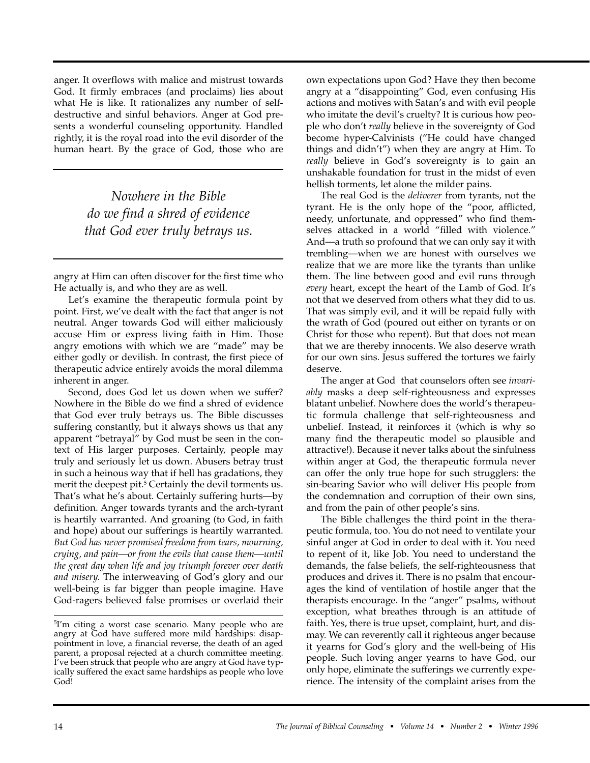anger. It overflows with malice and mistrust towards God. It firmly embraces (and proclaims) lies about what He is like. It rationalizes any number of selfdestructive and sinful behaviors. Anger at God presents a wonderful counseling opportunity. Handled rightly, it is the royal road into the evil disorder of the human heart. By the grace of God, those who are

> *Nowhere in the Bible do we find a shred of evidence that God ever truly betrays us.*

angry at Him can often discover for the first time who He actually is, and who they are as well.

Let's examine the therapeutic formula point by point. First, we've dealt with the fact that anger is not neutral. Anger towards God will either maliciously accuse Him or express living faith in Him. Those angry emotions with which we are "made" may be either godly or devilish. In contrast, the first piece of therapeutic advice entirely avoids the moral dilemma inherent in anger.

Second, does God let us down when we suffer? Nowhere in the Bible do we find a shred of evidence that God ever truly betrays us. The Bible discusses suffering constantly, but it always shows us that any apparent "betrayal" by God must be seen in the context of His larger purposes. Certainly, people may truly and seriously let us down. Abusers betray trust in such a heinous way that if hell has gradations, they merit the deepest pit.<sup>5</sup> Certainly the devil torments us. That's what he's about. Certainly suffering hurts—by definition. Anger towards tyrants and the arch-tyrant is heartily warranted. And groaning (to God, in faith and hope) about our sufferings is heartily warranted. *But God has never promised freedom from tears, mourning, crying, and pain—or from the evils that cause them—until the great day when life and joy triumph forever over death and misery.* The interweaving of God's glory and our well-being is far bigger than people imagine. Have God-ragers believed false promises or overlaid their own expectations upon God? Have they then become angry at a "disappointing" God, even confusing His actions and motives with Satan's and with evil people who imitate the devil's cruelty? It is curious how people who don't *really* believe in the sovereignty of God become hyper-Calvinists ("He could have changed things and didn't") when they are angry at Him. To *really* believe in God's sovereignty is to gain an unshakable foundation for trust in the midst of even hellish torments, let alone the milder pains.

The real God is the *deliverer* from tyrants, not the tyrant. He is the only hope of the "poor, afflicted, needy, unfortunate, and oppressed" who find themselves attacked in a world "filled with violence." And—a truth so profound that we can only say it with trembling—when we are honest with ourselves we realize that we are more like the tyrants than unlike them. The line between good and evil runs through *every* heart, except the heart of the Lamb of God. It's not that we deserved from others what they did to us. That was simply evil, and it will be repaid fully with the wrath of God (poured out either on tyrants or on Christ for those who repent). But that does not mean that we are thereby innocents. We also deserve wrath for our own sins. Jesus suffered the tortures we fairly deserve.

The anger at God that counselors often see *invariably* masks a deep self-righteousness and expresses blatant unbelief. Nowhere does the world's therapeutic formula challenge that self-righteousness and unbelief. Instead, it reinforces it (which is why so many find the therapeutic model so plausible and attractive!). Because it never talks about the sinfulness within anger at God, the therapeutic formula never can offer the only true hope for such strugglers: the sin-bearing Savior who will deliver His people from the condemnation and corruption of their own sins, and from the pain of other people's sins.

The Bible challenges the third point in the therapeutic formula, too. You do not need to ventilate your sinful anger at God in order to deal with it. You need to repent of it, like Job. You need to understand the demands, the false beliefs, the self-righteousness that produces and drives it. There is no psalm that encourages the kind of ventilation of hostile anger that the therapists encourage. In the "anger" psalms, without exception, what breathes through is an attitude of faith. Yes, there is true upset, complaint, hurt, and dismay. We can reverently call it righteous anger because it yearns for God's glory and the well-being of His people. Such loving anger yearns to have God, our only hope, eliminate the sufferings we currently experience. The intensity of the complaint arises from the

<sup>5</sup>I'm citing a worst case scenario. Many people who are angry at God have suffered more mild hardships: disappointment in love, a financial reverse, the death of an aged parent, a proposal rejected at a church committee meeting. I've been struck that people who are angry at God have typically suffered the exact same hardships as people who love God!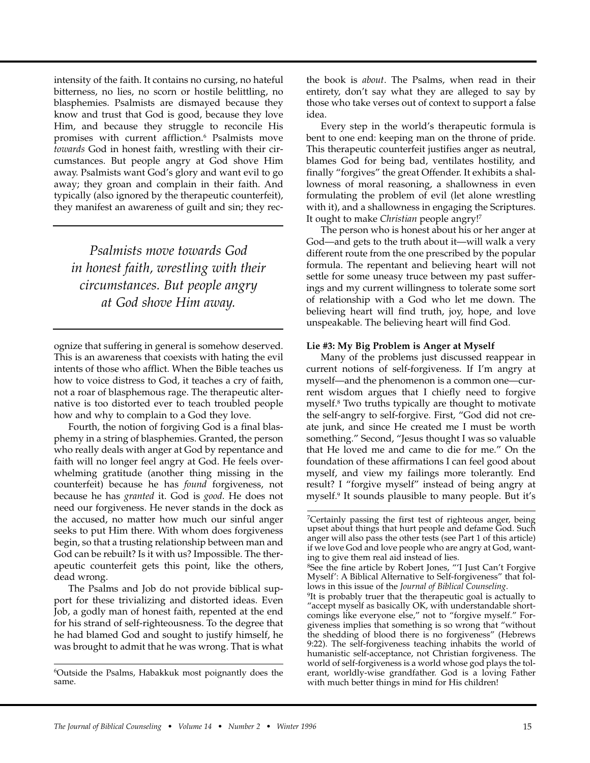intensity of the faith. It contains no cursing, no hateful bitterness, no lies, no scorn or hostile belittling, no blasphemies. Psalmists are dismayed because they know and trust that God is good, because they love Him, and because they struggle to reconcile His promises with current affliction.<sup>6</sup> Psalmists move *towards* God in honest faith, wrestling with their circumstances. But people angry at God shove Him away. Psalmists want God's glory and want evil to go away; they groan and complain in their faith. And typically (also ignored by the therapeutic counterfeit), they manifest an awareness of guilt and sin; they rec-

*Psalmists move towards God in honest faith, wrestling with their circumstances. But people angry at God shove Him away.*

ognize that suffering in general is somehow deserved. This is an awareness that coexists with hating the evil intents of those who afflict. When the Bible teaches us how to voice distress to God, it teaches a cry of faith, not a roar of blasphemous rage. The therapeutic alternative is too distorted ever to teach troubled people how and why to complain to a God they love.

Fourth, the notion of forgiving God is a final blasphemy in a string of blasphemies. Granted, the person who really deals with anger at God by repentance and faith will no longer feel angry at God. He feels overwhelming gratitude (another thing missing in the counterfeit) because he has *found* forgiveness, not because he has *granted* it. God is *good*. He does not need our forgiveness. He never stands in the dock as the accused, no matter how much our sinful anger seeks to put Him there. With whom does forgiveness begin, so that a trusting relationship between man and God can be rebuilt? Is it with us? Impossible. The therapeutic counterfeit gets this point, like the others, dead wrong.

The Psalms and Job do not provide biblical support for these trivializing and distorted ideas. Even Job, a godly man of honest faith, repented at the end for his strand of self-righteousness. To the degree that he had blamed God and sought to justify himself, he was brought to admit that he was wrong. That is what the book is *about*. The Psalms, when read in their entirety, don't say what they are alleged to say by those who take verses out of context to support a false idea.

Every step in the world's therapeutic formula is bent to one end: keeping man on the throne of pride. This therapeutic counterfeit justifies anger as neutral, blames God for being bad, ventilates hostility, and finally "forgives" the great Offender. It exhibits a shallowness of moral reasoning, a shallowness in even formulating the problem of evil (let alone wrestling with it), and a shallowness in engaging the Scriptures. It ought to make *Christian* people angry!7

The person who is honest about his or her anger at God—and gets to the truth about it—will walk a very different route from the one prescribed by the popular formula. The repentant and believing heart will not settle for some uneasy truce between my past sufferings and my current willingness to tolerate some sort of relationship with a God who let me down. The believing heart will find truth, joy, hope, and love unspeakable. The believing heart will find God.

#### **Lie #3: My Big Problem is Anger at Myself**

Many of the problems just discussed reappear in current notions of self-forgiveness. If I'm angry at myself—and the phenomenon is a common one—current wisdom argues that I chiefly need to forgive myself.8 Two truths typically are thought to motivate the self-angry to self-forgive. First, "God did not create junk, and since He created me I must be worth something." Second, "Jesus thought I was so valuable that He loved me and came to die for me." On the foundation of these affirmations I can feel good about myself, and view my failings more tolerantly. End result? I "forgive myself" instead of being angry at myself.9 It sounds plausible to many people. But it's

<sup>6</sup>Outside the Psalms, Habakkuk most poignantly does the same.

<sup>7</sup>Certainly passing the first test of righteous anger, being upset about things that hurt people and defame God. Such anger will also pass the other tests (see Part 1 of this article) if we love God and love people who are angry at God, wanting to give them real aid instead of lies.

<sup>&</sup>lt;sup>8</sup>See the fine article by Robert Jones, "'I Just Can't Forgive Myself': A Biblical Alternative to Self-forgiveness" that follows in this issue of the *Journal of Biblical Counseling*.

<sup>&</sup>lt;sup>9</sup>It is probably truer that the therapeutic goal is actually to "accept myself as basically OK, with understandable shortcomings like everyone else," not to "forgive myself." Forgiveness implies that something is so wrong that "without the shedding of blood there is no forgiveness" (Hebrews 9:22). The self-forgiveness teaching inhabits the world of humanistic self-acceptance, not Christian forgiveness. The world of self-forgiveness is a world whose god plays the tolerant, worldly-wise grandfather. God is a loving Father with much better things in mind for His children!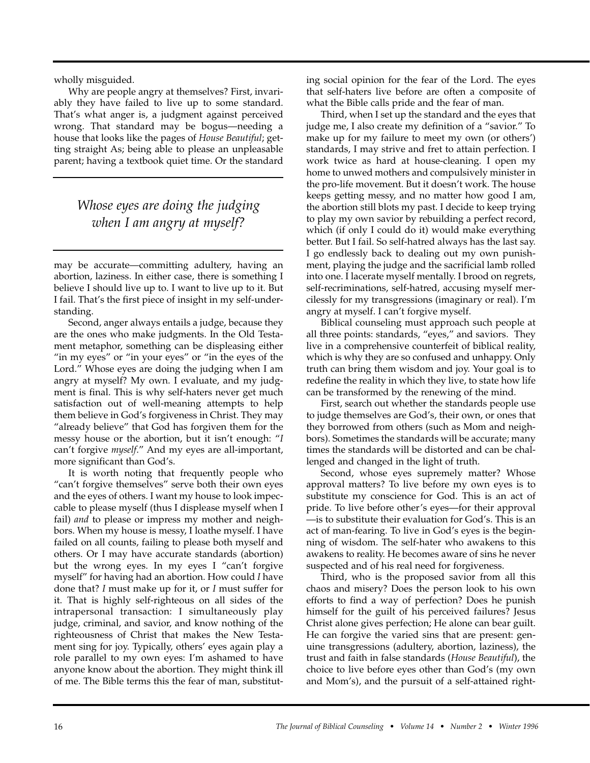wholly misguided.

Why are people angry at themselves? First, invariably they have failed to live up to some standard. That's what anger is, a judgment against perceived wrong. That standard may be bogus—needing a house that looks like the pages of *House Beautiful*; getting straight As; being able to please an unpleasable parent; having a textbook quiet time. Or the standard

## *Whose eyes are doing the judging when I am angry at myself?*

may be accurate—committing adultery, having an abortion, laziness. In either case, there is something I believe I should live up to. I want to live up to it. But I fail. That's the first piece of insight in my self-understanding.

Second, anger always entails a judge, because they are the ones who make judgments. In the Old Testament metaphor, something can be displeasing either "in my eyes" or "in your eyes" or "in the eyes of the Lord." Whose eyes are doing the judging when I am angry at myself? My own. I evaluate, and my judgment is final. This is why self-haters never get much satisfaction out of well-meaning attempts to help them believe in God's forgiveness in Christ. They may "already believe" that God has forgiven them for the messy house or the abortion, but it isn't enough: "*I* can't forgive *myself*." And my eyes are all-important, more significant than God's.

It is worth noting that frequently people who "can't forgive themselves" serve both their own eyes and the eyes of others. I want my house to look impeccable to please myself (thus I displease myself when I fail) *and* to please or impress my mother and neighbors. When my house is messy, I loathe myself. I have failed on all counts, failing to please both myself and others. Or I may have accurate standards (abortion) but the wrong eyes. In my eyes I "can't forgive myself" for having had an abortion. How could *I* have done that? *I* must make up for it, or *I* must suffer for it. That is highly self-righteous on all sides of the intrapersonal transaction: I simultaneously play judge, criminal, and savior, and know nothing of the righteousness of Christ that makes the New Testament sing for joy. Typically, others' eyes again play a role parallel to my own eyes: I'm ashamed to have anyone know about the abortion. They might think ill of me. The Bible terms this the fear of man, substituting social opinion for the fear of the Lord. The eyes that self-haters live before are often a composite of what the Bible calls pride and the fear of man.

Third, when I set up the standard and the eyes that judge me, I also create my definition of a "savior." To make up for my failure to meet my own (or others') standards, I may strive and fret to attain perfection. I work twice as hard at house-cleaning. I open my home to unwed mothers and compulsively minister in the pro-life movement. But it doesn't work. The house keeps getting messy, and no matter how good I am, the abortion still blots my past. I decide to keep trying to play my own savior by rebuilding a perfect record, which (if only I could do it) would make everything better. But I fail. So self-hatred always has the last say. I go endlessly back to dealing out my own punishment, playing the judge and the sacrificial lamb rolled into one. I lacerate myself mentally. I brood on regrets, self-recriminations, self-hatred, accusing myself mercilessly for my transgressions (imaginary or real). I'm angry at myself. I can't forgive myself.

Biblical counseling must approach such people at all three points: standards, "eyes," and saviors. They live in a comprehensive counterfeit of biblical reality, which is why they are so confused and unhappy. Only truth can bring them wisdom and joy. Your goal is to redefine the reality in which they live, to state how life can be transformed by the renewing of the mind.

First, search out whether the standards people use to judge themselves are God's, their own, or ones that they borrowed from others (such as Mom and neighbors). Sometimes the standards will be accurate; many times the standards will be distorted and can be challenged and changed in the light of truth.

Second, whose eyes supremely matter? Whose approval matters? To live before my own eyes is to substitute my conscience for God. This is an act of pride. To live before other's eyes—for their approval —is to substitute their evaluation for God's. This is an act of man-fearing. To live in God's eyes is the beginning of wisdom. The self-hater who awakens to this awakens to reality. He becomes aware of sins he never suspected and of his real need for forgiveness.

Third, who is the proposed savior from all this chaos and misery? Does the person look to his own efforts to find a way of perfection? Does he punish himself for the guilt of his perceived failures? Jesus Christ alone gives perfection; He alone can bear guilt. He can forgive the varied sins that are present: genuine transgressions (adultery, abortion, laziness), the trust and faith in false standards (*House Beautiful*), the choice to live before eyes other than God's (my own and Mom's), and the pursuit of a self-attained right-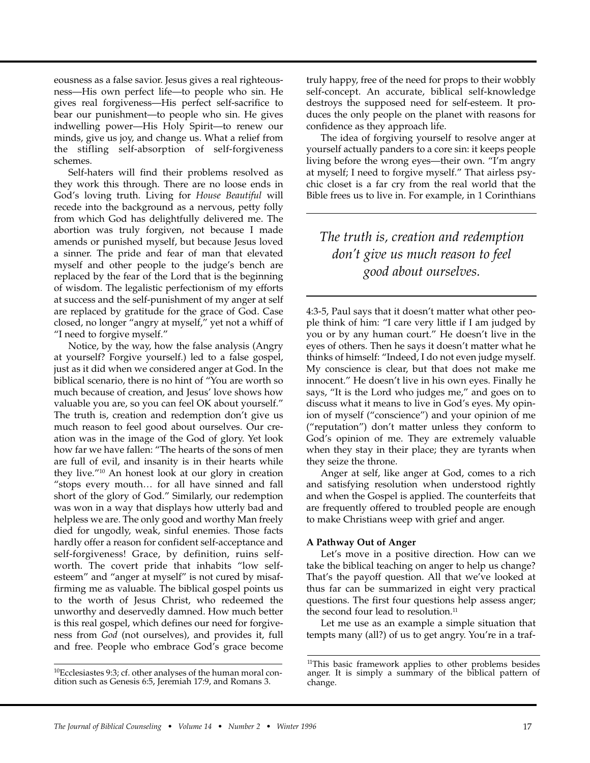eousness as a false savior. Jesus gives a real righteousness—His own perfect life—to people who sin. He gives real forgiveness—His perfect self-sacrifice to bear our punishment—to people who sin. He gives indwelling power—His Holy Spirit—to renew our minds, give us joy, and change us. What a relief from the stifling self-absorption of self-forgiveness schemes.

Self-haters will find their problems resolved as they work this through. There are no loose ends in God's loving truth. Living for *House Beautiful* will recede into the background as a nervous, petty folly from which God has delightfully delivered me. The abortion was truly forgiven, not because I made amends or punished myself, but because Jesus loved a sinner. The pride and fear of man that elevated myself and other people to the judge's bench are replaced by the fear of the Lord that is the beginning of wisdom. The legalistic perfectionism of my efforts at success and the self-punishment of my anger at self are replaced by gratitude for the grace of God. Case closed, no longer "angry at myself," yet not a whiff of "I need to forgive myself."

Notice, by the way, how the false analysis (Angry at yourself? Forgive yourself.) led to a false gospel, just as it did when we considered anger at God. In the biblical scenario, there is no hint of "You are worth so much because of creation, and Jesus' love shows how valuable you are, so you can feel OK about yourself." The truth is, creation and redemption don't give us much reason to feel good about ourselves. Our creation was in the image of the God of glory. Yet look how far we have fallen: "The hearts of the sons of men are full of evil, and insanity is in their hearts while they live."10 An honest look at our glory in creation "stops every mouth… for all have sinned and fall short of the glory of God." Similarly, our redemption was won in a way that displays how utterly bad and helpless we are. The only good and worthy Man freely died for ungodly, weak, sinful enemies. Those facts hardly offer a reason for confident self-acceptance and self-forgiveness! Grace, by definition, ruins selfworth. The covert pride that inhabits "low selfesteem" and "anger at myself" is not cured by misaffirming me as valuable. The biblical gospel points us to the worth of Jesus Christ, who redeemed the unworthy and deservedly damned. How much better is this real gospel, which defines our need for forgiveness from *God* (not ourselves), and provides it, full and free. People who embrace God's grace become

truly happy, free of the need for props to their wobbly self-concept. An accurate, biblical self-knowledge destroys the supposed need for self-esteem. It produces the only people on the planet with reasons for confidence as they approach life.

The idea of forgiving yourself to resolve anger at yourself actually panders to a core sin: it keeps people living before the wrong eyes—their own. "I'm angry at myself; I need to forgive myself." That airless psychic closet is a far cry from the real world that the Bible frees us to live in. For example, in 1 Corinthians

### *The truth is, creation and redemption don't give us much reason to feel good about ourselves.*

4:3-5, Paul says that it doesn't matter what other people think of him: "I care very little if I am judged by you or by any human court." He doesn't live in the eyes of others. Then he says it doesn't matter what he thinks of himself: "Indeed, I do not even judge myself. My conscience is clear, but that does not make me innocent." He doesn't live in his own eyes. Finally he says, "It is the Lord who judges me," and goes on to discuss what it means to live in God's eyes. My opinion of myself ("conscience") and your opinion of me ("reputation") don't matter unless they conform to God's opinion of me. They are extremely valuable when they stay in their place; they are tyrants when they seize the throne.

Anger at self, like anger at God, comes to a rich and satisfying resolution when understood rightly and when the Gospel is applied. The counterfeits that are frequently offered to troubled people are enough to make Christians weep with grief and anger.

#### **A Pathway Out of Anger**

Let's move in a positive direction. How can we take the biblical teaching on anger to help us change? That's the payoff question. All that we've looked at thus far can be summarized in eight very practical questions. The first four questions help assess anger; the second four lead to resolution.<sup>11</sup>

Let me use as an example a simple situation that tempts many (all?) of us to get angry. You're in a traf-

<sup>&</sup>lt;sup>10</sup>Ecclesiastes 9:3; cf. other analyses of the human moral condition such as Genesis 6:5, Jeremiah 17:9, and Romans 3.

<sup>&</sup>lt;sup>11</sup>This basic framework applies to other problems besides anger. It is simply a summary of the biblical pattern of change.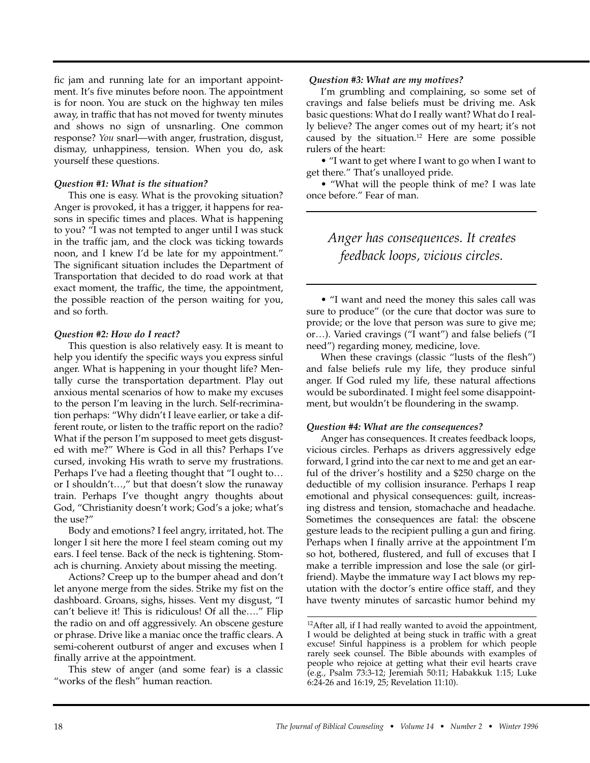fic jam and running late for an important appointment. It's five minutes before noon. The appointment is for noon. You are stuck on the highway ten miles away, in traffic that has not moved for twenty minutes and shows no sign of unsnarling. One common response? *You* snarl—with anger, frustration, disgust, dismay, unhappiness, tension. When you do, ask yourself these questions.

#### *Question #1: What is the situation?*

This one is easy. What is the provoking situation? Anger is provoked, it has a trigger, it happens for reasons in specific times and places. What is happening to you? "I was not tempted to anger until I was stuck in the traffic jam, and the clock was ticking towards noon, and I knew I'd be late for my appointment." The significant situation includes the Department of Transportation that decided to do road work at that exact moment, the traffic, the time, the appointment, the possible reaction of the person waiting for you, and so forth.

#### *Question #2: How do I react?*

This question is also relatively easy. It is meant to help you identify the specific ways you express sinful anger. What is happening in your thought life? Mentally curse the transportation department. Play out anxious mental scenarios of how to make my excuses to the person I'm leaving in the lurch. Self-recrimination perhaps: "Why didn't I leave earlier, or take a different route, or listen to the traffic report on the radio? What if the person I'm supposed to meet gets disgusted with me?" Where is God in all this? Perhaps I've cursed, invoking His wrath to serve my frustrations. Perhaps I've had a fleeting thought that "I ought to… or I shouldn't…," but that doesn't slow the runaway train. Perhaps I've thought angry thoughts about God, "Christianity doesn't work; God's a joke; what's the use?"

Body and emotions? I feel angry, irritated, hot. The longer I sit here the more I feel steam coming out my ears. I feel tense. Back of the neck is tightening. Stomach is churning. Anxiety about missing the meeting.

Actions? Creep up to the bumper ahead and don't let anyone merge from the sides. Strike my fist on the dashboard. Groans, sighs, hisses. Vent my disgust, "I can't believe it! This is ridiculous! Of all the…." Flip the radio on and off aggressively. An obscene gesture or phrase. Drive like a maniac once the traffic clears. A semi-coherent outburst of anger and excuses when I finally arrive at the appointment.

This stew of anger (and some fear) is a classic "works of the flesh" human reaction.

#### *Question #3: What are my motives?*

I'm grumbling and complaining, so some set of cravings and false beliefs must be driving me. Ask basic questions: What do I really want? What do I really believe? The anger comes out of my heart; it's not caused by the situation.12 Here are some possible rulers of the heart:

• "I want to get where I want to go when I want to get there." That's unalloyed pride.

• "What will the people think of me? I was late once before." Fear of man.

### *Anger has consequences. It creates feedback loops, vicious circles.*

• "I want and need the money this sales call was sure to produce" (or the cure that doctor was sure to provide; or the love that person was sure to give me; or…). Varied cravings ("I want") and false beliefs ("I need") regarding money, medicine, love.

When these cravings (classic "lusts of the flesh") and false beliefs rule my life, they produce sinful anger. If God ruled my life, these natural affections would be subordinated. I might feel some disappointment, but wouldn't be floundering in the swamp.

#### *Question #4: What are the consequences?*

Anger has consequences. It creates feedback loops, vicious circles. Perhaps as drivers aggressively edge forward, I grind into the car next to me and get an earful of the driver's hostility and a \$250 charge on the deductible of my collision insurance. Perhaps I reap emotional and physical consequences: guilt, increasing distress and tension, stomachache and headache. Sometimes the consequences are fatal: the obscene gesture leads to the recipient pulling a gun and firing. Perhaps when I finally arrive at the appointment I'm so hot, bothered, flustered, and full of excuses that I make a terrible impression and lose the sale (or girlfriend). Maybe the immature way I act blows my reputation with the doctor's entire office staff, and they have twenty minutes of sarcastic humor behind my

<sup>&</sup>lt;sup>12</sup>After all, if I had really wanted to avoid the appointment, I would be delighted at being stuck in traffic with a great excuse! Sinful happiness is a problem for which people rarely seek counsel. The Bible abounds with examples of people who rejoice at getting what their evil hearts crave (e.g., Psalm 73:3-12; Jeremiah 50:11; Habakkuk 1:15; Luke 6:24-26 and 16:19, 25; Revelation 11:10).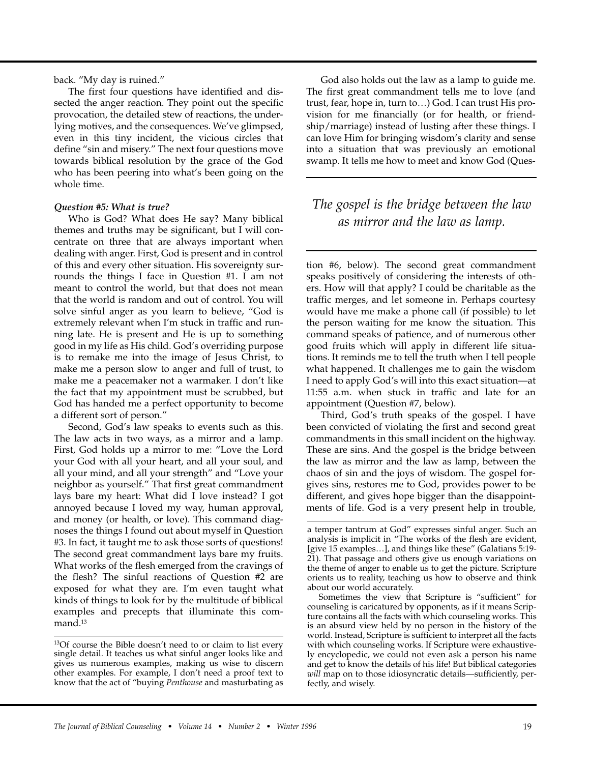back. "My day is ruined."

The first four questions have identified and dissected the anger reaction. They point out the specific provocation, the detailed stew of reactions, the underlying motives, and the consequences. We've glimpsed, even in this tiny incident, the vicious circles that define "sin and misery." The next four questions move towards biblical resolution by the grace of the God who has been peering into what's been going on the whole time.

#### *Question #5: What is true?*

Who is God? What does He say? Many biblical themes and truths may be significant, but I will concentrate on three that are always important when dealing with anger. First, God is present and in control of this and every other situation. His sovereignty surrounds the things I face in Question #1. I am not meant to control the world, but that does not mean that the world is random and out of control. You will solve sinful anger as you learn to believe, "God is extremely relevant when I'm stuck in traffic and running late. He is present and He is up to something good in my life as His child. God's overriding purpose is to remake me into the image of Jesus Christ, to make me a person slow to anger and full of trust, to make me a peacemaker not a warmaker. I don't like the fact that my appointment must be scrubbed, but God has handed me a perfect opportunity to become a different sort of person."

Second, God's law speaks to events such as this. The law acts in two ways, as a mirror and a lamp. First, God holds up a mirror to me: "Love the Lord your God with all your heart, and all your soul, and all your mind, and all your strength" and "Love your neighbor as yourself." That first great commandment lays bare my heart: What did I love instead? I got annoyed because I loved my way, human approval, and money (or health, or love). This command diagnoses the things I found out about myself in Question #3. In fact, it taught me to ask those sorts of questions! The second great commandment lays bare my fruits. What works of the flesh emerged from the cravings of the flesh? The sinful reactions of Question #2 are exposed for what they are. I'm even taught what kinds of things to look for by the multitude of biblical examples and precepts that illuminate this command.<sup>13</sup>

God also holds out the law as a lamp to guide me. The first great commandment tells me to love (and trust, fear, hope in, turn to…) God. I can trust His provision for me financially (or for health, or friendship/marriage) instead of lusting after these things. I can love Him for bringing wisdom's clarity and sense into a situation that was previously an emotional swamp. It tells me how to meet and know God (Ques-

### *The gospel is the bridge between the law as mirror and the law as lamp.*

tion #6, below). The second great commandment speaks positively of considering the interests of others. How will that apply? I could be charitable as the traffic merges, and let someone in. Perhaps courtesy would have me make a phone call (if possible) to let the person waiting for me know the situation. This command speaks of patience, and of numerous other good fruits which will apply in different life situations. It reminds me to tell the truth when I tell people what happened. It challenges me to gain the wisdom I need to apply God's will into this exact situation—at 11:55 a.m. when stuck in traffic and late for an appointment (Question #7, below).

Third, God's truth speaks of the gospel. I have been convicted of violating the first and second great commandments in this small incident on the highway. These are sins. And the gospel is the bridge between the law as mirror and the law as lamp, between the chaos of sin and the joys of wisdom. The gospel forgives sins, restores me to God, provides power to be different, and gives hope bigger than the disappointments of life. God is a very present help in trouble,

<sup>&</sup>lt;sup>13</sup>Of course the Bible doesn't need to or claim to list every single detail. It teaches us what sinful anger looks like and gives us numerous examples, making us wise to discern other examples. For example, I don't need a proof text to know that the act of "buying *Penthouse* and masturbating as

a temper tantrum at God" expresses sinful anger. Such an analysis is implicit in "The works of the flesh are evident, [give 15 examples…], and things like these" (Galatians 5:19- 21). That passage and others give us enough variations on the theme of anger to enable us to get the picture. Scripture orients us to reality, teaching us how to observe and think about our world accurately.

Sometimes the view that Scripture is "sufficient" for counseling is caricatured by opponents, as if it means Scripture contains all the facts with which counseling works. This is an absurd view held by no person in the history of the world. Instead, Scripture is sufficient to interpret all the facts with which counseling works. If Scripture were exhaustively encyclopedic, we could not even ask a person his name and get to know the details of his life! But biblical categories *will* map on to those idiosyncratic details—sufficiently, perfectly, and wisely.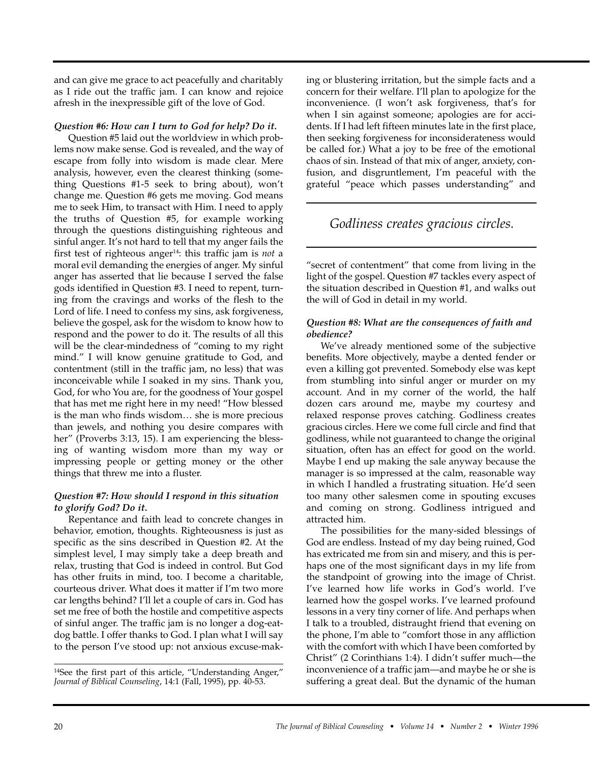and can give me grace to act peacefully and charitably as I ride out the traffic jam. I can know and rejoice afresh in the inexpressible gift of the love of God.

#### *Question #6: How can I turn to God for help? Do it.*

Question #5 laid out the worldview in which problems now make sense. God is revealed, and the way of escape from folly into wisdom is made clear. Mere analysis, however, even the clearest thinking (something Questions #1-5 seek to bring about), won't change me. Question #6 gets me moving. God means me to seek Him, to transact with Him. I need to apply the truths of Question #5, for example working through the questions distinguishing righteous and sinful anger. It's not hard to tell that my anger fails the first test of righteous anger14: this traffic jam is *not* a moral evil demanding the energies of anger. My sinful anger has asserted that lie because I served the false gods identified in Question #3. I need to repent, turning from the cravings and works of the flesh to the Lord of life. I need to confess my sins, ask forgiveness, believe the gospel, ask for the wisdom to know how to respond and the power to do it. The results of all this will be the clear-mindedness of "coming to my right mind." I will know genuine gratitude to God, and contentment (still in the traffic jam, no less) that was inconceivable while I soaked in my sins. Thank you, God, for who You are, for the goodness of Your gospel that has met me right here in my need! "How blessed is the man who finds wisdom… she is more precious than jewels, and nothing you desire compares with her" (Proverbs 3:13, 15). I am experiencing the blessing of wanting wisdom more than my way or impressing people or getting money or the other things that threw me into a fluster.

#### *Question #7: How should I respond in this situation to glorify God? Do it.*

Repentance and faith lead to concrete changes in behavior, emotion, thoughts. Righteousness is just as specific as the sins described in Question #2. At the simplest level, I may simply take a deep breath and relax, trusting that God is indeed in control. But God has other fruits in mind, too. I become a charitable, courteous driver. What does it matter if I'm two more car lengths behind? I'll let a couple of cars in. God has set me free of both the hostile and competitive aspects of sinful anger. The traffic jam is no longer a dog-eatdog battle. I offer thanks to God. I plan what I will say to the person I've stood up: not anxious excuse-making or blustering irritation, but the simple facts and a concern for their welfare. I'll plan to apologize for the inconvenience. (I won't ask forgiveness, that's for when I sin against someone; apologies are for accidents. If I had left fifteen minutes late in the first place, then seeking forgiveness for inconsiderateness would be called for.) What a joy to be free of the emotional chaos of sin. Instead of that mix of anger, anxiety, confusion, and disgruntlement, I'm peaceful with the grateful "peace which passes understanding" and

### *Godliness creates gracious circles.*

"secret of contentment" that come from living in the light of the gospel. Question #7 tackles every aspect of the situation described in Question #1, and walks out the will of God in detail in my world.

#### *Question #8: What are the consequences of faith and obedience?*

We've already mentioned some of the subjective benefits. More objectively, maybe a dented fender or even a killing got prevented. Somebody else was kept from stumbling into sinful anger or murder on my account. And in my corner of the world, the half dozen cars around me, maybe my courtesy and relaxed response proves catching. Godliness creates gracious circles. Here we come full circle and find that godliness, while not guaranteed to change the original situation, often has an effect for good on the world. Maybe I end up making the sale anyway because the manager is so impressed at the calm, reasonable way in which I handled a frustrating situation. He'd seen too many other salesmen come in spouting excuses and coming on strong. Godliness intrigued and attracted him.

The possibilities for the many-sided blessings of God are endless. Instead of my day being ruined, God has extricated me from sin and misery, and this is perhaps one of the most significant days in my life from the standpoint of growing into the image of Christ. I've learned how life works in God's world. I've learned how the gospel works. I've learned profound lessons in a very tiny corner of life. And perhaps when I talk to a troubled, distraught friend that evening on the phone, I'm able to "comfort those in any affliction with the comfort with which I have been comforted by Christ" (2 Corinthians 1:4). I didn't suffer much—the inconvenience of a traffic jam—and maybe he or she is suffering a great deal. But the dynamic of the human

<sup>14</sup>See the first part of this article, "Understanding Anger," *Journal of Biblical Counseling*, 14:1 (Fall, 1995), pp. 40-53.